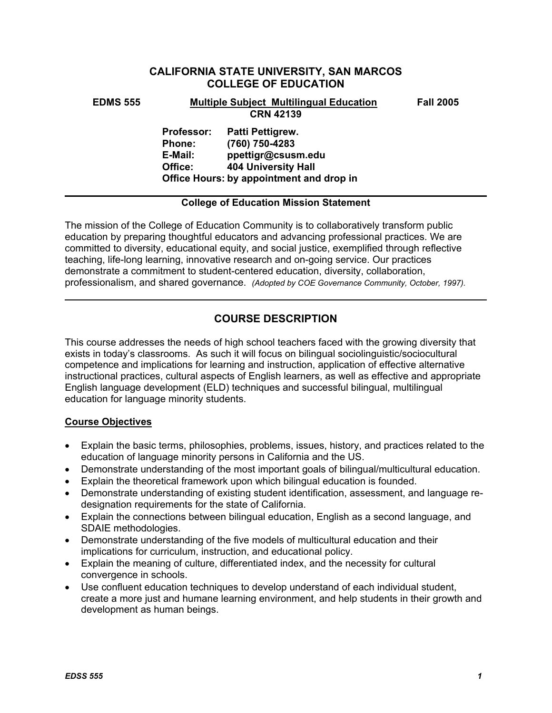# **CALIFORNIA STATE UNIVERSITY, SAN MARCOS COLLEGE OF EDUCATION**

### **EDMS 555 Multiple Subject Multilingual Education Fall 2005 CRN 42139**

**Professor: Patti Pettigrew. Phone: (760) 750-4283 E-Mail: ppettigr@csusm.edu Office: 404 University Hall Office Hours: by appointment and drop in** 

## **College of Education Mission Statement**

The mission of the College of Education Community is to collaboratively transform public education by preparing thoughtful educators and advancing professional practices. We are committed to diversity, educational equity, and social justice, exemplified through reflective teaching, life-long learning, innovative research and on-going service. Our practices demonstrate a commitment to student-centered education, diversity, collaboration, professionalism, and shared governance. *(Adopted by COE Governance Community, October, 1997).* 

# **COURSE DESCRIPTION**

This course addresses the needs of high school teachers faced with the growing diversity that exists in today's classrooms. As such it will focus on bilingual sociolinguistic/sociocultural competence and implications for learning and instruction, application of effective alternative instructional practices, cultural aspects of English learners, as well as effective and appropriate English language development (ELD) techniques and successful bilingual, multilingual education for language minority students.

# **Course Objectives**

- Explain the basic terms, philosophies, problems, issues, history, and practices related to the education of language minority persons in California and the US.
- Demonstrate understanding of the most important goals of bilingual/multicultural education.
- Explain the theoretical framework upon which bilingual education is founded.
- Demonstrate understanding of existing student identification, assessment, and language redesignation requirements for the state of California.
- Explain the connections between bilingual education, English as a second language, and SDAIE methodologies.
- Demonstrate understanding of the five models of multicultural education and their implications for curriculum, instruction, and educational policy.
- Explain the meaning of culture, differentiated index, and the necessity for cultural convergence in schools.
- Use confluent education techniques to develop understand of each individual student, create a more just and humane learning environment, and help students in their growth and development as human beings.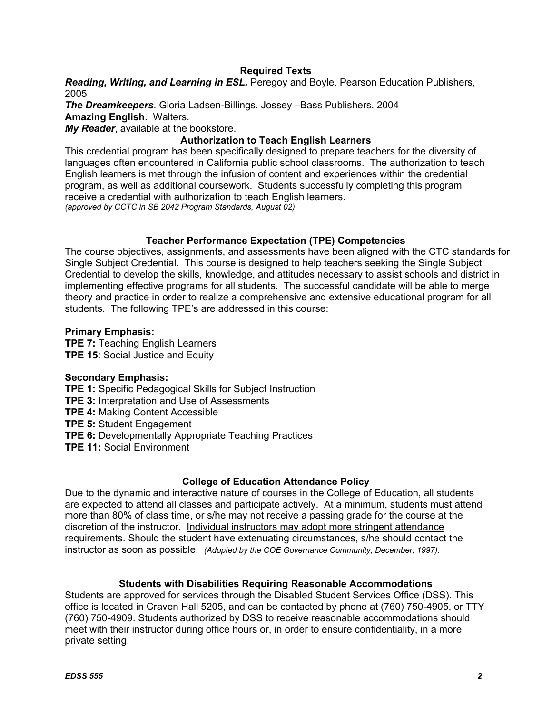# **Required Texts**

*Reading, Writing, and Learning in ESL.* Peregoy and Boyle. Pearson Education Publishers, 2005

*The Dreamkeepers*. Gloria Ladsen-Billings. Jossey –Bass Publishers. 2004 **Amazing English**. Walters.

*My Reader*, available at the bookstore.

# **Authorization to Teach English Learners**

This credential program has been specifically designed to prepare teachers for the diversity of languages often encountered in California public school classrooms. The authorization to teach English learners is met through the infusion of content and experiences within the credential program, as well as additional coursework. Students successfully completing this program receive a credential with authorization to teach English learners. *(approved by CCTC in SB 2042 Program Standards, August 02)*

# **Teacher Performance Expectation (TPE) Competencies**

The course objectives, assignments, and assessments have been aligned with the CTC standards for Single Subject Credential. This course is designed to help teachers seeking the Single Subject Credential to develop the skills, knowledge, and attitudes necessary to assist schools and district in implementing effective programs for all students. The successful candidate will be able to merge theory and practice in order to realize a comprehensive and extensive educational program for all students. The following TPE's are addressed in this course:

### **Primary Emphasis:**

**TPE 7:** Teaching English Learners **TPE 15**: Social Justice and Equity

### **Secondary Emphasis:**

**TPE 1:** Specific Pedagogical Skills for Subject Instruction **TPE 3:** Interpretation and Use of Assessments **TPE 4:** Making Content Accessible **TPE 5:** Student Engagement **TPE 6:** Developmentally Appropriate Teaching Practices **TPE 11:** Social Environment

### **College of Education Attendance Policy**

Due to the dynamic and interactive nature of courses in the College of Education, all students are expected to attend all classes and participate actively. At a minimum, students must attend more than 80% of class time, or s/he may not receive a passing grade for the course at the discretion of the instructor. Individual instructors may adopt more stringent attendance requirements. Should the student have extenuating circumstances, s/he should contact the instructor as soon as possible. *(Adopted by the COE Governance Community, December, 1997).*

# **Students with Disabilities Requiring Reasonable Accommodations**

Students are approved for services through the Disabled Student Services Office (DSS). This office is located in Craven Hall 5205, and can be contacted by phone at (760) 750-4905, or TTY (760) 750-4909. Students authorized by DSS to receive reasonable accommodations should meet with their instructor during office hours or, in order to ensure confidentiality, in a more private setting.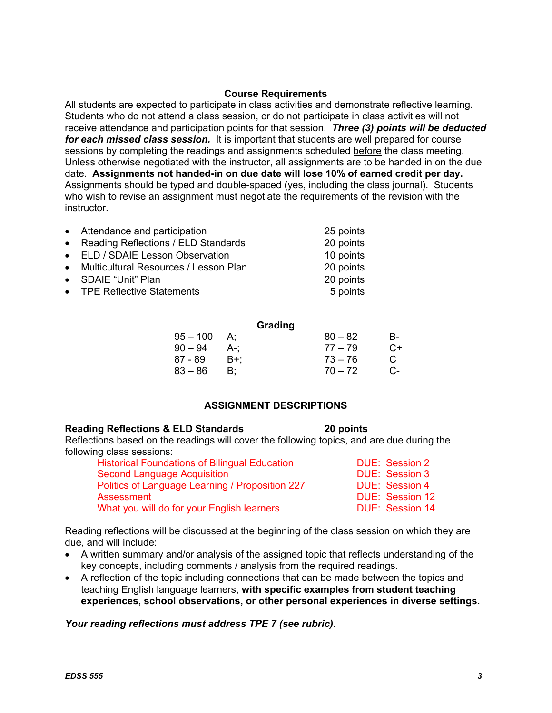#### **Course Requirements**

All students are expected to participate in class activities and demonstrate reflective learning. Students who do not attend a class session, or do not participate in class activities will not receive attendance and participation points for that session. *Three (3) points will be deducted for each missed class session.* It is important that students are well prepared for course sessions by completing the readings and assignments scheduled before the class meeting. Unless otherwise negotiated with the instructor, all assignments are to be handed in on the due date. **Assignments not handed-in on due date will lose 10% of earned credit per day.** Assignments should be typed and double-spaced (yes, including the class journal). Students who wish to revise an assignment must negotiate the requirements of the revision with the instructor.

| • Attendance and participation          | 25 points |
|-----------------------------------------|-----------|
| • Reading Reflections / ELD Standards   | 20 points |
| • ELD / SDAIE Lesson Observation        | 10 points |
| • Multicultural Resources / Lesson Plan | 20 points |
| • SDAIE "Unit" Plan                     | 20 points |
| • TPE Reflective Statements             | 5 points  |
|                                         |           |

|            |     | Grading   |    |
|------------|-----|-----------|----|
| $95 - 100$ | А:  | $80 - 82$ | B- |
| $90 - 94$  | A-: | $77 - 79$ | C+ |
| 87 - 89    | B+: | $73 - 76$ | C. |
| 83 – 86    | B:  | $70 - 72$ | C- |

# **ASSIGNMENT DESCRIPTIONS**

### **Reading Reflections & ELD Standards 20 points**

Reflections based on the readings will cover the following topics, and are due during the following class sessions:

| <b>Historical Foundations of Bilingual Education</b> | DUE: Session 2         |
|------------------------------------------------------|------------------------|
| <b>Second Language Acquisition</b>                   | DUE: Session 3         |
| Politics of Language Learning / Proposition 227      | DUE: Session 4         |
| Assessment                                           | DUE: Session 12        |
| What you will do for your English learners           | <b>DUE: Session 14</b> |

Reading reflections will be discussed at the beginning of the class session on which they are due, and will include:

- A written summary and/or analysis of the assigned topic that reflects understanding of the key concepts, including comments / analysis from the required readings.
- A reflection of the topic including connections that can be made between the topics and teaching English language learners, **with specific examples from student teaching experiences, school observations, or other personal experiences in diverse settings.**

*Your reading reflections must address TPE 7 (see rubric).*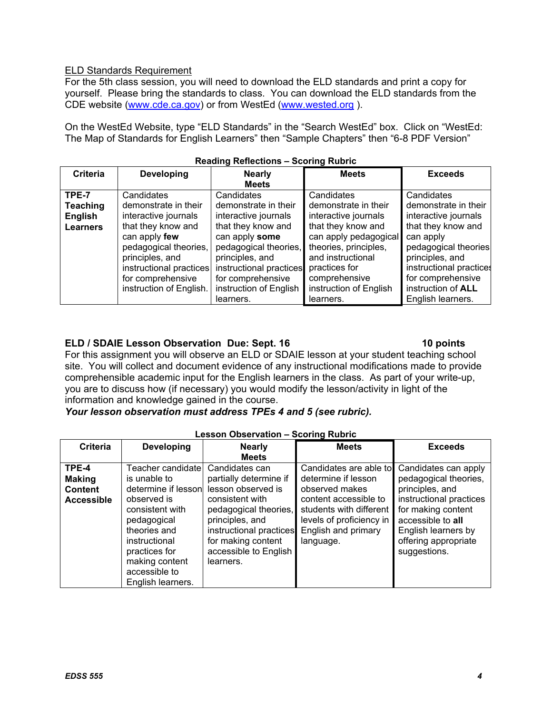## ELD Standards Requirement

For the 5th class session, you will need to download the ELD standards and print a copy for yourself. Please bring the standards to class. You can download the ELD standards from the CDE website (www.cde.ca.gov) or from WestEd (www.wested.org ).

On the WestEd Website, type "ELD Standards" in the "Search WestEd" box. Click on "WestEd: The Map of Standards for English Learners" then "Sample Chapters" then "6-8 PDF Version"

| <b>Criteria</b> | <b>Developing</b>       | <b>Nearly</b>           | <b>Meets</b>           | <b>Exceeds</b>            |  |
|-----------------|-------------------------|-------------------------|------------------------|---------------------------|--|
|                 |                         | <b>Meets</b>            |                        |                           |  |
| TPE-7           | Candidates              | Candidates              | Candidates             | Candidates                |  |
| <b>Teaching</b> | demonstrate in their    | demonstrate in their    | demonstrate in their   | demonstrate in their      |  |
| English         | interactive journals    | interactive journals    | interactive journals   | interactive journals      |  |
| <b>Learners</b> | that they know and      | that they know and      | that they know and     | that they know and        |  |
|                 | can apply few           | can apply some          | can apply pedagogical  | can apply                 |  |
|                 | pedagogical theories,   | pedagogical theories,   | theories, principles,  | pedagogical theories      |  |
|                 | principles, and         | principles, and         | and instructional      | principles, and           |  |
|                 | instructional practices | instructional practices | practices for          | instructional practices   |  |
|                 | for comprehensive       | for comprehensive       | comprehensive          | for comprehensive         |  |
|                 | instruction of English. | instruction of English  | instruction of English | instruction of <b>ALL</b> |  |
|                 |                         | learners.               | learners.              | English learners.         |  |

### **Reading Reflections – Scoring Rubric**

## **ELD / SDAIE Lesson Observation Due: Sept. 16 10 points 10 points and 10 points in the limits**

# For this assignment you will observe an ELD or SDAIE lesson at your student teaching school site. You will collect and document evidence of any instructional modifications made to provide comprehensible academic input for the English learners in the class. As part of your write-up, you are to discuss how (if necessary) you would modify the lesson/activity in light of the information and knowledge gained in the course.

### *Your lesson observation must address TPEs 4 and 5 (see rubric).*

| <b>Lesson Observation - Scoring Rubric</b> |                     |                         |                          |                         |
|--------------------------------------------|---------------------|-------------------------|--------------------------|-------------------------|
| <b>Criteria</b>                            | <b>Developing</b>   | <b>Nearly</b>           | <b>Meets</b>             | <b>Exceeds</b>          |
|                                            |                     | <b>Meets</b>            |                          |                         |
| TPE-4                                      | Teacher candidate   | Candidates can          | Candidates are able to   | Candidates can apply    |
| <b>Making</b>                              | is unable to        | partially determine if  | determine if lesson      | pedagogical theories,   |
| <b>Content</b>                             | determine if lesson | lesson observed is      | observed makes           | principles, and         |
| <b>Accessible</b>                          | observed is         | consistent with         | content accessible to    | instructional practices |
|                                            | consistent with     | pedagogical theories,   | students with different  | for making content      |
|                                            | pedagogical         | principles, and         | levels of proficiency in | accessible to all       |
|                                            | theories and        | instructional practices | English and primary      | English learners by     |
|                                            | instructional       | for making content      | language.                | offering appropriate    |
|                                            | practices for       | accessible to English   |                          | suggestions.            |
|                                            | making content      | learners.               |                          |                         |
|                                            | accessible to       |                         |                          |                         |
|                                            | English learners.   |                         |                          |                         |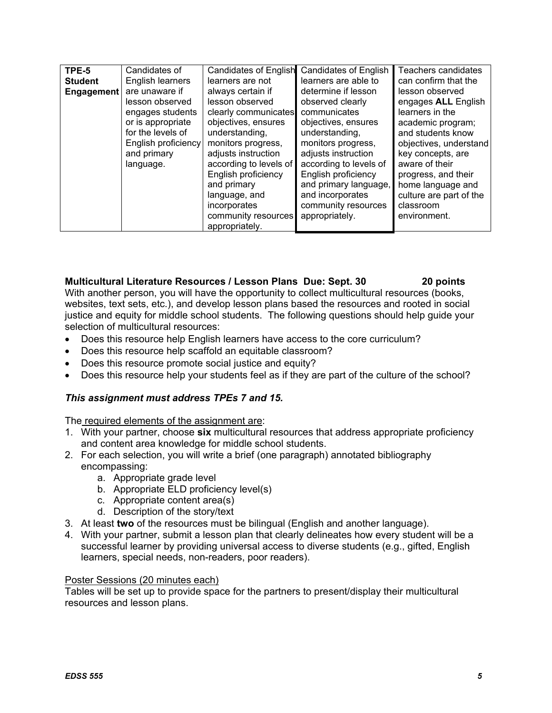| TPE-5             | Candidates of       | Candidates of English  | <b>Candidates of English</b> | Teachers candidates     |
|-------------------|---------------------|------------------------|------------------------------|-------------------------|
| <b>Student</b>    | English learners    | learners are not       | learners are able to         | can confirm that the    |
| <b>Engagement</b> | are unaware if      | always certain if      | determine if lesson          | lesson observed         |
|                   | lesson observed     | lesson observed        | observed clearly             | engages ALL English     |
|                   | engages students    | clearly communicates   | communicates                 | learners in the         |
|                   | or is appropriate   | objectives, ensures    | objectives, ensures          | academic program;       |
|                   | for the levels of   | understanding,         | understanding,               | and students know       |
|                   | English proficiency | monitors progress,     | monitors progress,           | objectives, understand  |
|                   | and primary         | adjusts instruction    | adjusts instruction          | key concepts, are       |
|                   | language.           | according to levels of | according to levels of       | aware of their          |
|                   |                     | English proficiency    | English proficiency          | progress, and their     |
|                   |                     | and primary            | and primary language,        | home language and       |
|                   |                     | language, and          | and incorporates             | culture are part of the |
|                   |                     | incorporates           | community resources          | classroom               |
|                   |                     | community resources    | appropriately.               | environment.            |
|                   |                     | appropriately.         |                              |                         |

## **Multicultural Literature Resources / Lesson Plans Due: Sept. 30 20 points**

With another person, you will have the opportunity to collect multicultural resources (books, websites, text sets, etc.), and develop lesson plans based the resources and rooted in social justice and equity for middle school students. The following questions should help guide your selection of multicultural resources:

- Does this resource help English learners have access to the core curriculum?
- Does this resource help scaffold an equitable classroom?
- Does this resource promote social justice and equity?
- Does this resource help your students feel as if they are part of the culture of the school?

# *This assignment must address TPEs 7 and 15.*

The required elements of the assignment are:

- 1. With your partner, choose **six** multicultural resources that address appropriate proficiency and content area knowledge for middle school students.
- 2. For each selection, you will write a brief (one paragraph) annotated bibliography encompassing:
	- a. Appropriate grade level
	- b. Appropriate ELD proficiency level(s)
	- c. Appropriate content area(s)
	- d. Description of the story/text
- 3. At least **two** of the resources must be bilingual (English and another language).
- 4. With your partner, submit a lesson plan that clearly delineates how every student will be a successful learner by providing universal access to diverse students (e.g., gifted, English learners, special needs, non-readers, poor readers).

### Poster Sessions (20 minutes each)

Tables will be set up to provide space for the partners to present/display their multicultural resources and lesson plans.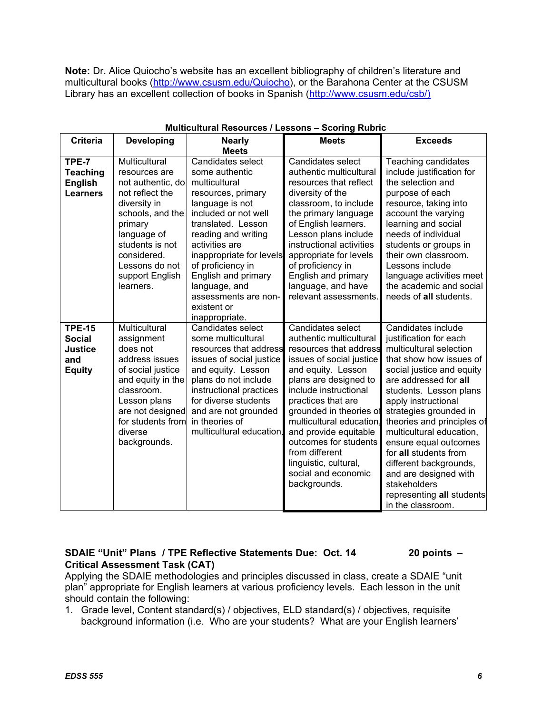**Note:** Dr. Alice Quiocho's website has an excellent bibliography of children's literature and multicultural books (http://www.csusm.edu/Quiocho), or the Barahona Center at the CSUSM Library has an excellent collection of books in Spanish (http://www.csusm.edu/csb/)

| <b>Criteria</b>                                                          | <b>Developing</b>                                                                                                                                                                                                        | <b>Nearly</b>                                                                                                                                                                                                                                                                                                                          | <b>Meets</b>                                                                                                                                                                                                                                                                                                                                                                                | <b>Exceeds</b>                                                                                                                                                                                                                                                                                                                                                                                                                                                       |
|--------------------------------------------------------------------------|--------------------------------------------------------------------------------------------------------------------------------------------------------------------------------------------------------------------------|----------------------------------------------------------------------------------------------------------------------------------------------------------------------------------------------------------------------------------------------------------------------------------------------------------------------------------------|---------------------------------------------------------------------------------------------------------------------------------------------------------------------------------------------------------------------------------------------------------------------------------------------------------------------------------------------------------------------------------------------|----------------------------------------------------------------------------------------------------------------------------------------------------------------------------------------------------------------------------------------------------------------------------------------------------------------------------------------------------------------------------------------------------------------------------------------------------------------------|
|                                                                          |                                                                                                                                                                                                                          | <b>Meets</b>                                                                                                                                                                                                                                                                                                                           |                                                                                                                                                                                                                                                                                                                                                                                             |                                                                                                                                                                                                                                                                                                                                                                                                                                                                      |
| TPE-7<br><b>Teaching</b><br><b>English</b><br><b>Learners</b>            | Multicultural<br>resources are<br>not authentic, do<br>not reflect the<br>diversity in<br>schools, and the<br>primary<br>language of<br>students is not<br>considered.<br>Lessons do not<br>support English<br>learners. | Candidates select<br>some authentic<br>multicultural<br>resources, primary<br>language is not<br>included or not well<br>translated. Lesson<br>reading and writing<br>activities are<br>inappropriate for levels<br>of proficiency in<br>English and primary<br>language, and<br>assessments are non-<br>existent or<br>inappropriate. | Candidates select<br>authentic multicultural<br>resources that reflect<br>diversity of the<br>classroom, to include<br>the primary language<br>of English learners.<br>Lesson plans include<br>instructional activities<br>appropriate for levels<br>of proficiency in<br>English and primary<br>language, and have<br>relevant assessments.                                                | Teaching candidates<br>include justification for<br>the selection and<br>purpose of each<br>resource, taking into<br>account the varying<br>learning and social<br>needs of individual<br>students or groups in<br>their own classroom.<br>Lessons include<br>language activities meet<br>the academic and social<br>needs of all students.                                                                                                                          |
| <b>TPE-15</b><br><b>Social</b><br><b>Justice</b><br>and<br><b>Equity</b> | Multicultural<br>assignment<br>does not<br>address issues<br>of social justice<br>and equity in the<br>classroom.<br>Lesson plans<br>are not designed<br>for students from<br>diverse<br>backgrounds.                    | Candidates select<br>some multicultural<br>resources that address<br>issues of social justice<br>and equity. Lesson<br>plans do not include<br>instructional practices<br>for diverse students<br>and are not grounded<br>in theories of<br>multicultural education.                                                                   | Candidates select<br>authentic multicultural<br>resources that address<br>issues of social justice<br>and equity. Lesson<br>plans are designed to<br>include instructional<br>practices that are<br>grounded in theories of<br>multicultural education.<br>and provide equitable<br>outcomes for students<br>from different<br>linguistic, cultural,<br>social and economic<br>backgrounds. | Candidates include<br>justification for each<br>multicultural selection<br>that show how issues of<br>social justice and equity<br>are addressed for all<br>students. Lesson plans<br>apply instructional<br>strategies grounded in<br>theories and principles of<br>multicultural education,<br>ensure equal outcomes<br>for all students from<br>different backgrounds,<br>and are designed with<br>stakeholders<br>representing all students<br>in the classroom. |

#### **Multicultural Resources / Lessons – Scoring Rubric**

# **SDAIE "Unit" Plans / TPE Reflective Statements Due: Oct. 14 20 points – Critical Assessment Task (CAT)**

Applying the SDAIE methodologies and principles discussed in class, create a SDAIE "unit plan" appropriate for English learners at various proficiency levels. Each lesson in the unit should contain the following:

1. Grade level, Content standard(s) / objectives, ELD standard(s) / objectives, requisite background information (i.e. Who are your students? What are your English learners'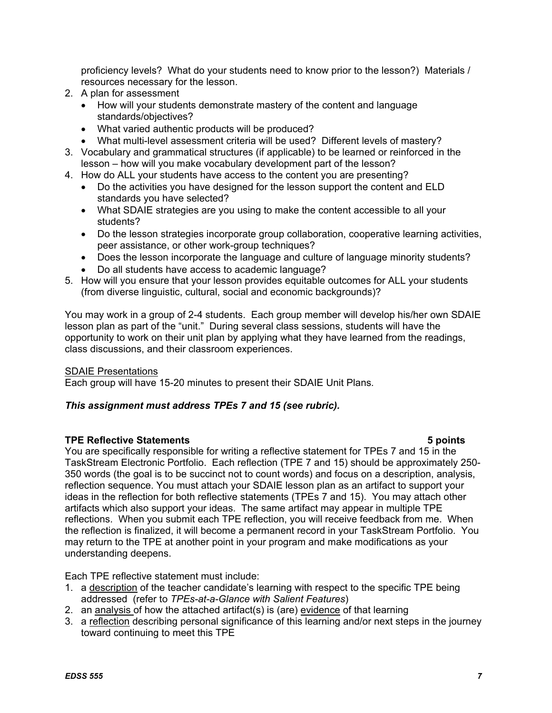proficiency levels? What do your students need to know prior to the lesson?) Materials / resources necessary for the lesson.

- 2. A plan for assessment
	- How will your students demonstrate mastery of the content and language standards/objectives?
	- What varied authentic products will be produced?
	- What multi-level assessment criteria will be used? Different levels of mastery?
- 3. Vocabulary and grammatical structures (if applicable) to be learned or reinforced in the lesson – how will you make vocabulary development part of the lesson?
- 4. How do ALL your students have access to the content you are presenting?
	- Do the activities you have designed for the lesson support the content and ELD standards you have selected?
	- What SDAIE strategies are you using to make the content accessible to all your students?
	- Do the lesson strategies incorporate group collaboration, cooperative learning activities, peer assistance, or other work-group techniques?
	- Does the lesson incorporate the language and culture of language minority students?
	- Do all students have access to academic language?
- 5. How will you ensure that your lesson provides equitable outcomes for ALL your students (from diverse linguistic, cultural, social and economic backgrounds)?

You may work in a group of 2-4 students. Each group member will develop his/her own SDAIE lesson plan as part of the "unit." During several class sessions, students will have the opportunity to work on their unit plan by applying what they have learned from the readings, class discussions, and their classroom experiences.

### SDAIE Presentations

Each group will have 15-20 minutes to present their SDAIE Unit Plans*.*

# *This assignment must address TPEs 7 and 15 (see rubric).*

### **TPE Reflective Statements 5 points**

You are specifically responsible for writing a reflective statement for TPEs 7 and 15 in the TaskStream Electronic Portfolio. Each reflection (TPE 7 and 15) should be approximately 250- 350 words (the goal is to be succinct not to count words) and focus on a description, analysis, reflection sequence. You must attach your SDAIE lesson plan as an artifact to support your ideas in the reflection for both reflective statements (TPEs 7 and 15). You may attach other artifacts which also support your ideas. The same artifact may appear in multiple TPE reflections. When you submit each TPE reflection, you will receive feedback from me. When the reflection is finalized, it will become a permanent record in your TaskStream Portfolio. You may return to the TPE at another point in your program and make modifications as your understanding deepens.

Each TPE reflective statement must include:

- 1. a description of the teacher candidate's learning with respect to the specific TPE being addressed (refer to *TPEs-at-a-Glance with Salient Features*)
- 2. an analysis of how the attached artifact(s) is (are) evidence of that learning
- 3. a reflection describing personal significance of this learning and/or next steps in the journey toward continuing to meet this TPE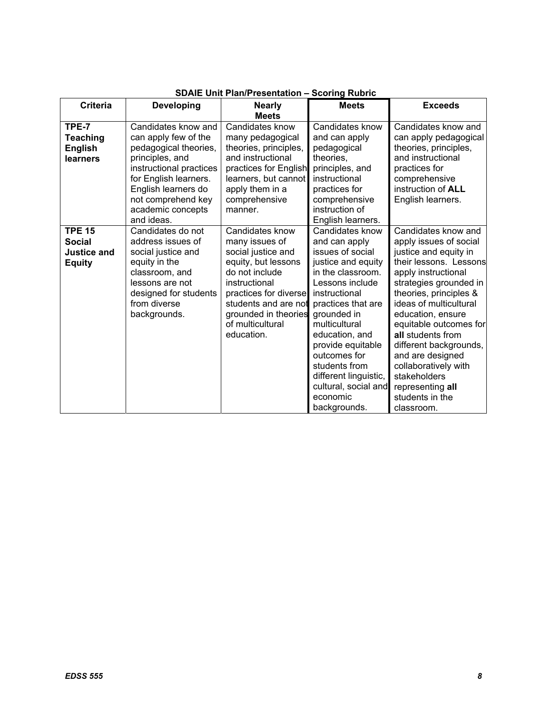| <b>Criteria</b>                                                       | <b>Developing</b>                                                                                                                                                                                                           | <b>Nearly</b><br><b>Meets</b>                                                                                                                                                                                                | <b>Meets</b>                                                                                                                                                                                                                                                                                                                                   | <b>Exceeds</b>                                                                                                                                                                                                                                                                                                                                                                                                       |
|-----------------------------------------------------------------------|-----------------------------------------------------------------------------------------------------------------------------------------------------------------------------------------------------------------------------|------------------------------------------------------------------------------------------------------------------------------------------------------------------------------------------------------------------------------|------------------------------------------------------------------------------------------------------------------------------------------------------------------------------------------------------------------------------------------------------------------------------------------------------------------------------------------------|----------------------------------------------------------------------------------------------------------------------------------------------------------------------------------------------------------------------------------------------------------------------------------------------------------------------------------------------------------------------------------------------------------------------|
| TPE-7<br>Teaching<br><b>English</b><br>learners                       | Candidates know and<br>can apply few of the<br>pedagogical theories,<br>principles, and<br>instructional practices<br>for English learners.<br>English learners do<br>not comprehend key<br>academic concepts<br>and ideas. | Candidates know<br>many pedagogical<br>theories, principles,<br>and instructional<br>practices for English<br>learners, but cannot<br>apply them in a<br>comprehensive<br>manner.                                            | Candidates know<br>and can apply<br>pedagogical<br>theories.<br>principles, and<br>instructional<br>practices for<br>comprehensive<br>instruction of<br>English learners.                                                                                                                                                                      | Candidates know and<br>can apply pedagogical<br>theories, principles,<br>and instructional<br>practices for<br>comprehensive<br>instruction of <b>ALL</b><br>English learners.                                                                                                                                                                                                                                       |
| <b>TPE 15</b><br><b>Social</b><br><b>Justice and</b><br><b>Equity</b> | Candidates do not<br>address issues of<br>social justice and<br>equity in the<br>classroom, and<br>lessons are not<br>designed for students<br>from diverse<br>backgrounds.                                                 | Candidates know<br>many issues of<br>social justice and<br>equity, but lessons<br>do not include<br>instructional<br>practices for diverse<br>students and are not<br>grounded in theories<br>of multicultural<br>education. | Candidates know<br>and can apply<br>issues of social<br>justice and equity<br>in the classroom.<br>Lessons include<br>instructional<br>practices that are<br>grounded in<br>multicultural<br>education, and<br>provide equitable<br>outcomes for<br>students from<br>different linguistic,<br>cultural, social and<br>economic<br>backgrounds. | Candidates know and<br>apply issues of social<br>justice and equity in<br>their lessons. Lessons<br>apply instructional<br>strategies grounded in<br>theories, principles &<br>ideas of multicultural<br>education, ensure<br>equitable outcomes for<br>all students from<br>different backgrounds,<br>and are designed<br>collaboratively with<br>stakeholders<br>representing all<br>students in the<br>classroom. |

# **SDAIE Unit Plan/Presentation – Scoring Rubric**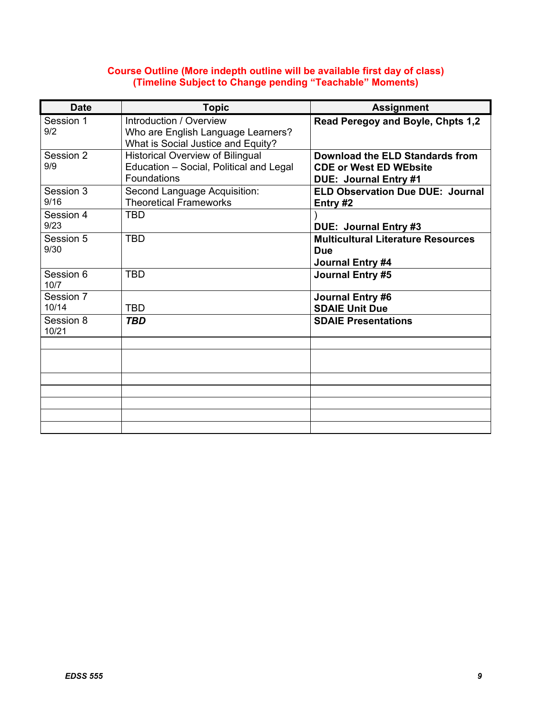### **Course Outline (More indepth outline will be available first day of class) (Timeline Subject to Change pending "Teachable" Moments)**

| <b>Date</b>        | <b>Topic</b>                                                                                        | <b>Assignment</b>                                                                                |
|--------------------|-----------------------------------------------------------------------------------------------------|--------------------------------------------------------------------------------------------------|
| Session 1<br>9/2   | Introduction / Overview<br>Who are English Language Learners?<br>What is Social Justice and Equity? | Read Peregoy and Boyle, Chpts 1,2                                                                |
| Session 2<br>9/9   | <b>Historical Overview of Bilingual</b><br>Education - Social, Political and Legal<br>Foundations   | Download the ELD Standards from<br><b>CDE or West ED WEbsite</b><br><b>DUE: Journal Entry #1</b> |
| Session 3<br>9/16  | Second Language Acquisition:<br><b>Theoretical Frameworks</b>                                       | <b>ELD Observation Due DUE: Journal</b><br>Entry $#2$                                            |
| Session 4<br>9/23  | <b>TBD</b>                                                                                          | DUE: Journal Entry #3                                                                            |
| Session 5<br>9/30  | <b>TBD</b>                                                                                          | <b>Multicultural Literature Resources</b><br><b>Due</b><br>Journal Entry #4                      |
| Session 6<br>10/7  | <b>TBD</b>                                                                                          | Journal Entry #5                                                                                 |
| Session 7<br>10/14 | <b>TBD</b>                                                                                          | <b>Journal Entry #6</b><br><b>SDAIE Unit Due</b>                                                 |
| Session 8<br>10/21 | TBD                                                                                                 | <b>SDAIE Presentations</b>                                                                       |
|                    |                                                                                                     |                                                                                                  |
|                    |                                                                                                     |                                                                                                  |
|                    |                                                                                                     |                                                                                                  |
|                    |                                                                                                     |                                                                                                  |
|                    |                                                                                                     |                                                                                                  |
|                    |                                                                                                     |                                                                                                  |